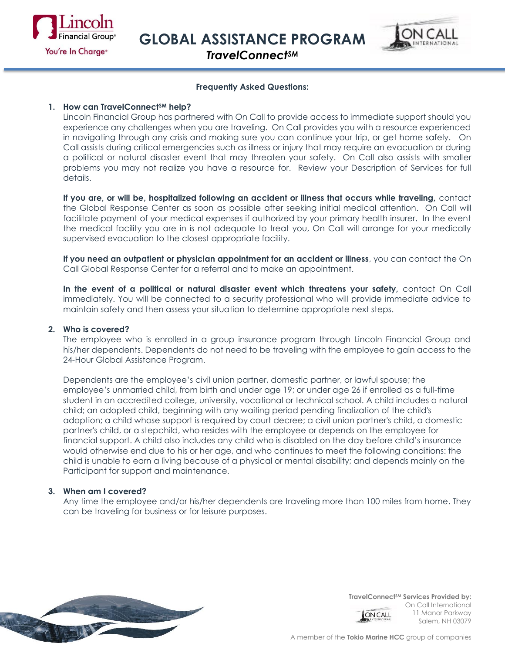

**GLOBAL ASSISTANCE PROGRAM**



*TravelConnectSM*

## **Frequently Asked Questions:**

# **1. How can TravelConnectSM help?**

Lincoln Financial Group has partnered with On Call to provide access to immediate support should you experience any challenges when you are traveling. On Call provides you with a resource experienced in navigating through any crisis and making sure you can continue your trip, or get home safely. On Call assists during critical emergencies such as illness or injury that may require an evacuation or during a political or natural disaster event that may threaten your safety. On Call also assists with smaller problems you may not realize you have a resource for. Review your Description of Services for full details.

**If you are, or will be, hospitalized following an accident or illness that occurs while traveling,** contact the Global Response Center as soon as possible after seeking initial medical attention. On Call will facilitate payment of your medical expenses if authorized by your primary health insurer. In the event the medical facility you are in is not adequate to treat you, On Call will arrange for your medically supervised evacuation to the closest appropriate facility.

**If you need an outpatient or physician appointment for an accident or illness**, you can contact the On Call Global Response Center for a referral and to make an appointment.

In the event of a political or natural disaster event which threatens your safety, contact On Call immediately. You will be connected to a security professional who will provide immediate advice to maintain safety and then assess your situation to determine appropriate next steps.

#### **2. Who is covered?**

The employee who is enrolled in a group insurance program through Lincoln Financial Group and his/her dependents. Dependents do not need to be traveling with the employee to gain access to the 24-Hour Global Assistance Program.

Dependents are the employee's civil union partner, domestic partner, or lawful spouse; the employee's unmarried child, from birth and under age 19; or under age 26 if enrolled as a full-time student in an accredited college, university, vocational or technical school. A child includes a natural child; an adopted child, beginning with any waiting period pending finalization of the child's adoption; a child whose support is required by court decree; a civil union partner's child, a domestic partner's child, or a stepchild, who resides with the employee or depends on the employee for financial support. A child also includes any child who is disabled on the day before child's insurance would otherwise end due to his or her age, and who continues to meet the following conditions: the child is unable to earn a living because of a physical or mental disability; and depends mainly on the Participant for support and maintenance.

#### **3. When am I covered?**

Any time the employee and/or his/her dependents are traveling more than 100 miles from home. They can be traveling for business or for leisure purposes.



**TravelConnectSM Services Provided by:**  On Call International 11 Manor Parkway **ON CALL** Salem, NH 03079